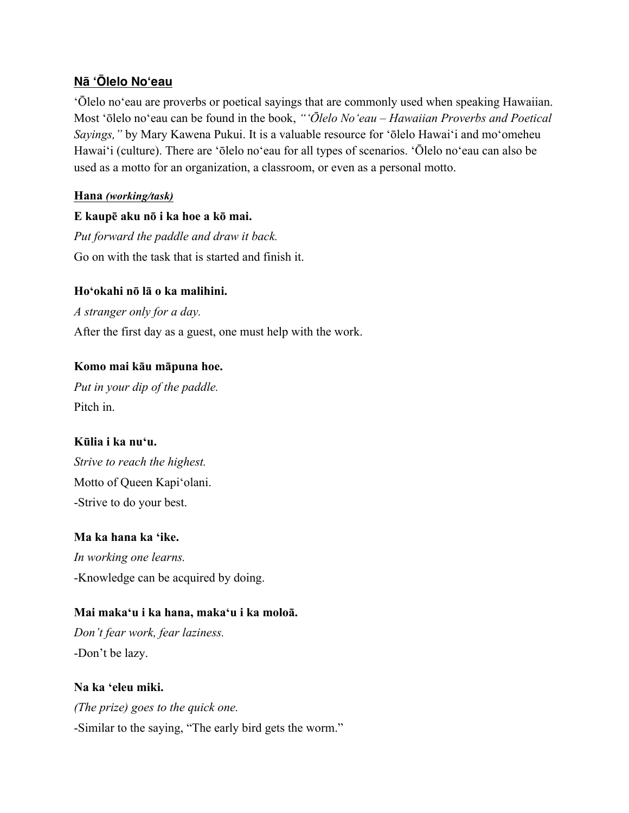# **Nā ʻŌlelo Noʻeau**

ʻŌlelo noʻeau are proverbs or poetical sayings that are commonly used when speaking Hawaiian. Most ʻōlelo noʻeau can be found in the book, *"ʻŌlelo Noʻeau – Hawaiian Proverbs and Poetical Sayings,"* by Mary Kawena Pukui. It is a valuable resource for ʻōlelo Hawaiʻi and moʻomeheu Hawaiʻi (culture). There are ʻōlelo noʻeau for all types of scenarios. ʻŌlelo noʻeau can also be used as a motto for an organization, a classroom, or even as a personal motto.

# **Hana** *(working/task)*

# **E kaupē aku nō i ka hoe a kō mai.**

*Put forward the paddle and draw it back.* Go on with the task that is started and finish it.

# **Hoʻokahi nō lā o ka malihini.**

*A stranger only for a day.* After the first day as a guest, one must help with the work.

# **Komo mai kāu māpuna hoe.**

*Put in your dip of the paddle.* Pitch in.

# **Kūlia i ka nuʻu.**

*Strive to reach the highest.* Motto of Queen Kapiʻolani. -Strive to do your best.

# **Ma ka hana ka ʻike.**

*In working one learns.* -Knowledge can be acquired by doing.

# **Mai makaʻu i ka hana, makaʻu i ka moloā.**

*Don't fear work, fear laziness.* -Don't be lazy.

# **Na ka ʻeleu miki.** *(The prize) goes to the quick one.* -Similar to the saying, "The early bird gets the worm."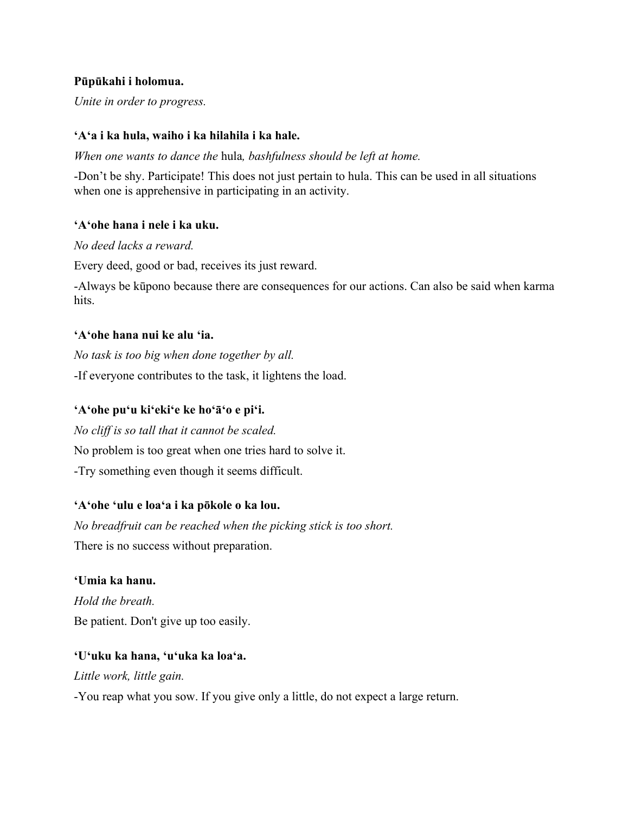### **Pūpūkahi i holomua.**

*Unite in order to progress.*

### **ʻAʻa i ka hula, waiho i ka hilahila i ka hale.**

*When one wants to dance the* hula*, bashfulness should be left at home.*

-Don't be shy. Participate! This does not just pertain to hula. This can be used in all situations when one is apprehensive in participating in an activity.

### **ʻAʻohe hana i nele i ka uku.**

*No deed lacks a reward.*

Every deed, good or bad, receives its just reward.

-Always be kūpono because there are consequences for our actions. Can also be said when karma hits.

### **ʻAʻohe hana nui ke alu ʻia.**

*No task is too big when done together by all.* -If everyone contributes to the task, it lightens the load.

# **ʻAʻohe puʻu kiʻekiʻe ke hoʻāʻo e piʻi.**

*No cliff is so tall that it cannot be scaled.* No problem is too great when one tries hard to solve it. -Try something even though it seems difficult.

# **ʻAʻohe ʻulu e loaʻa i ka pōkole o ka lou.**

*No breadfruit can be reached when the picking stick is too short.* There is no success without preparation.

# **ʻUmia ka hanu.**

*Hold the breath.* Be patient. Don't give up too easily.

# **ʻUʻuku ka hana, ʻuʻuka ka loaʻa.**

*Little work, little gain.*

-You reap what you sow. If you give only a little, do not expect a large return.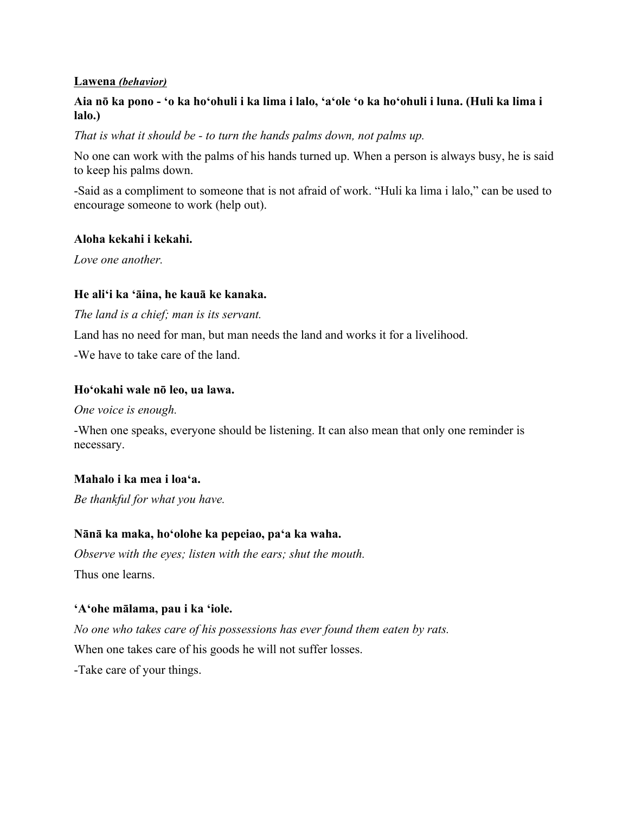#### **Lawena** *(behavior)*

# **Aia nō ka pono - ʻo ka hoʻohuli i ka lima i lalo, ʻaʻole ʻo ka hoʻohuli i luna. (Huli ka lima i lalo.)**

*That is what it should be - to turn the hands palms down, not palms up.*

No one can work with the palms of his hands turned up. When a person is always busy, he is said to keep his palms down.

-Said as a compliment to someone that is not afraid of work. "Huli ka lima i lalo," can be used to encourage someone to work (help out).

### **Aloha kekahi i kekahi.**

*Love one another.*

# **He aliʻi ka ʻāina, he kauā ke kanaka.**

*The land is a chief; man is its servant.*

Land has no need for man, but man needs the land and works it for a livelihood.

-We have to take care of the land.

### **Hoʻokahi wale nō leo, ua lawa.**

*One voice is enough.*

-When one speaks, everyone should be listening. It can also mean that only one reminder is necessary.

# **Mahalo i ka mea i loaʻa.**

*Be thankful for what you have.*

# **Nānā ka maka, hoʻolohe ka pepeiao, paʻa ka waha.**

*Observe with the eyes; listen with the ears; shut the mouth.*  Thus one learns.

# **ʻAʻohe mālama, pau i ka ʻiole.**

*No one who takes care of his possessions has ever found them eaten by rats.*

When one takes care of his goods he will not suffer losses.

-Take care of your things.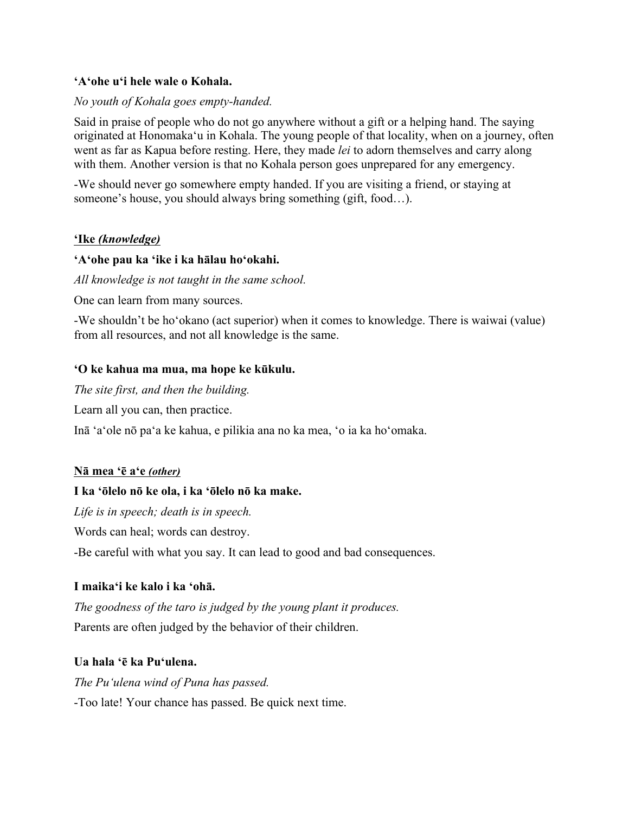#### **ʻAʻohe uʻi hele wale o Kohala.**

#### *No youth of Kohala goes empty-handed.*

Said in praise of people who do not go anywhere without a gift or a helping hand. The saying originated at Honomakaʻu in Kohala. The young people of that locality, when on a journey, often went as far as Kapua before resting. Here, they made *lei* to adorn themselves and carry along with them. Another version is that no Kohala person goes unprepared for any emergency.

-We should never go somewhere empty handed. If you are visiting a friend, or staying at someone's house, you should always bring something (gift, food…).

#### **ʻIke** *(knowledge)*

#### **ʻAʻohe pau ka ʻike i ka hālau hoʻokahi.**

*All knowledge is not taught in the same school.*

One can learn from many sources.

-We shouldn't be hoʻokano (act superior) when it comes to knowledge. There is waiwai (value) from all resources, and not all knowledge is the same.

#### **ʻO ke kahua ma mua, ma hope ke kūkulu.**

*The site first, and then the building.*

Learn all you can, then practice.

Inā ʻaʻole nō paʻa ke kahua, e pilikia ana no ka mea, ʻo ia ka hoʻomaka.

#### **Nā mea ʻē aʻe** *(other)*

#### **I ka ʻōlelo nō ke ola, i ka ʻōlelo nō ka make.**

*Life is in speech; death is in speech.*

Words can heal; words can destroy.

-Be careful with what you say. It can lead to good and bad consequences.

#### **I maikaʻi ke kalo i ka ʻohā.**

*The goodness of the taro is judged by the young plant it produces.* Parents are often judged by the behavior of their children.

#### **Ua hala ʻē ka Puʻulena.**

*The Puʻulena wind of Puna has passed.*

-Too late! Your chance has passed. Be quick next time.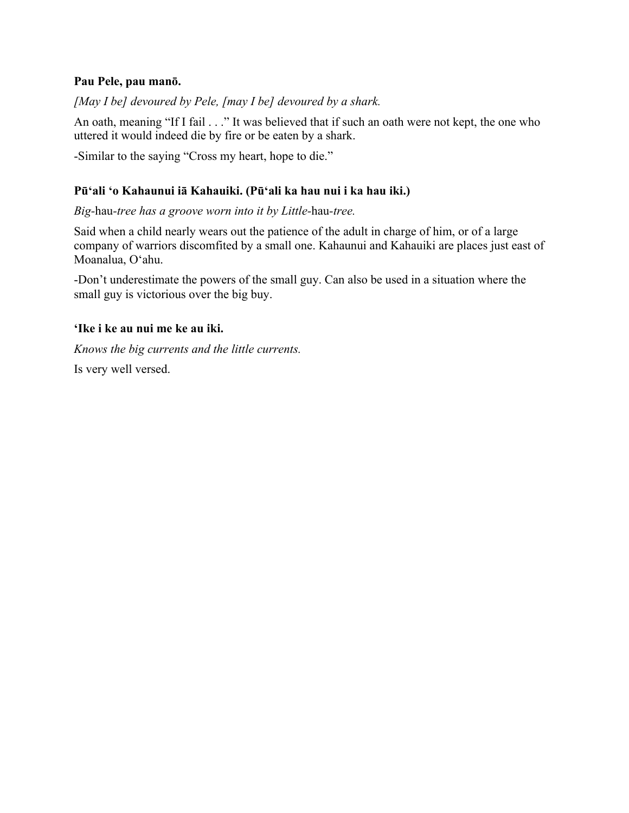#### **Pau Pele, pau manō.**

*[May I be] devoured by Pele, [may I be] devoured by a shark.*

An oath, meaning "If I fail . . ." It was believed that if such an oath were not kept, the one who uttered it would indeed die by fire or be eaten by a shark.

-Similar to the saying "Cross my heart, hope to die."

# **Pūʻali ʻo Kahaunui iā Kahauiki. (Pūʻali ka hau nui i ka hau iki.)**

*Big-*hau*-tree has a groove worn into it by Little-*hau*-tree.*

Said when a child nearly wears out the patience of the adult in charge of him, or of a large company of warriors discomfited by a small one. Kahaunui and Kahauiki are places just east of Moanalua, Oʻahu.

-Don't underestimate the powers of the small guy. Can also be used in a situation where the small guy is victorious over the big buy.

# **ʻIke i ke au nui me ke au iki.**

*Knows the big currents and the little currents.*

Is very well versed.